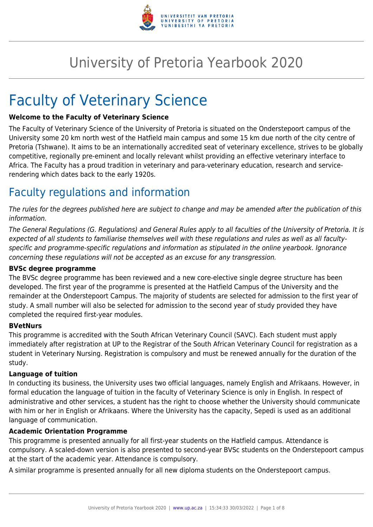

## University of Pretoria Yearbook 2020

# Faculty of Veterinary Science

#### **Welcome to the Faculty of Veterinary Science**

The Faculty of Veterinary Science of the University of Pretoria is situated on the Onderstepoort campus of the University some 20 km north west of the Hatfield main campus and some 15 km due north of the city centre of Pretoria (Tshwane). It aims to be an internationally accredited seat of veterinary excellence, strives to be globally competitive, regionally pre-eminent and locally relevant whilst providing an effective veterinary interface to Africa. The Faculty has a proud tradition in veterinary and para-veterinary education, research and servicerendering which dates back to the early 1920s.

## Faculty regulations and information

The rules for the degrees published here are subject to change and may be amended after the publication of this information.

The General Regulations (G. Regulations) and General Rules apply to all faculties of the University of Pretoria. It is expected of all students to familiarise themselves well with these regulations and rules as well as all facultyspecific and programme-specific regulations and information as stipulated in the online yearbook. Ignorance concerning these regulations will not be accepted as an excuse for any transgression.

#### **BVSc degree programme**

The BVSc degree programme has been reviewed and a new core-elective single degree structure has been developed. The first year of the programme is presented at the Hatfield Campus of the University and the remainder at the Onderstepoort Campus. The majority of students are selected for admission to the first year of study. A small number will also be selected for admission to the second year of study provided they have completed the required first-year modules.

#### **BVetNurs**

This programme is accredited with the South African Veterinary Council (SAVC). Each student must apply immediately after registration at UP to the Registrar of the South African Veterinary Council for registration as a student in Veterinary Nursing. Registration is compulsory and must be renewed annually for the duration of the study.

#### **Language of tuition**

In conducting its business, the University uses two official languages, namely English and Afrikaans. However, in formal education the language of tuition in the faculty of Veterinary Science is only in English. In respect of administrative and other services, a student has the right to choose whether the University should communicate with him or her in English or Afrikaans. Where the University has the capacity, Sepedi is used as an additional language of communication.

#### **Academic Orientation Programme**

This programme is presented annually for all first-year students on the Hatfield campus. Attendance is compulsory. A scaled-down version is also presented to second-year BVSc students on the Onderstepoort campus at the start of the academic year. Attendance is compulsory.

A similar programme is presented annually for all new diploma students on the Onderstepoort campus.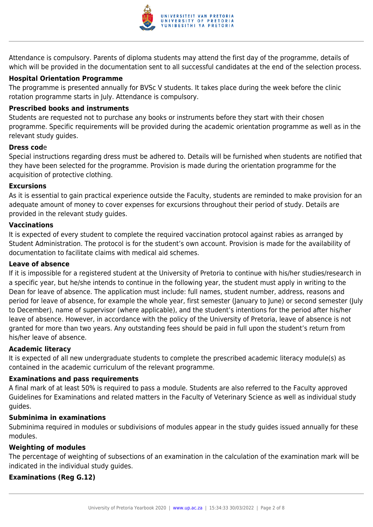

Attendance is compulsory. Parents of diploma students may attend the first day of the programme, details of which will be provided in the documentation sent to all successful candidates at the end of the selection process.

#### **Hospital Orientation Programme**

The programme is presented annually for BVSc V students. It takes place during the week before the clinic rotation programme starts in July. Attendance is compulsory.

#### **Prescribed books and instruments**

Students are requested not to purchase any books or instruments before they start with their chosen programme. Specific requirements will be provided during the academic orientation programme as well as in the relevant study guides.

#### **Dress cod**e

Special instructions regarding dress must be adhered to. Details will be furnished when students are notified that they have been selected for the programme. Provision is made during the orientation programme for the acquisition of protective clothing.

#### **Excursions**

As it is essential to gain practical experience outside the Faculty, students are reminded to make provision for an adequate amount of money to cover expenses for excursions throughout their period of study. Details are provided in the relevant study guides.

#### **Vaccinations**

It is expected of every student to complete the required vaccination protocol against rabies as arranged by Student Administration. The protocol is for the student's own account. Provision is made for the availability of documentation to facilitate claims with medical aid schemes.

#### **Leave of absence**

If it is impossible for a registered student at the University of Pretoria to continue with his/her studies/research in a specific year, but he/she intends to continue in the following year, the student must apply in writing to the Dean for leave of absence. The application must include: full names, student number, address, reasons and period for leave of absence, for example the whole year, first semester (January to June) or second semester (July to December), name of supervisor (where applicable), and the student's intentions for the period after his/her leave of absence. However, in accordance with the policy of the University of Pretoria, leave of absence is not granted for more than two years. Any outstanding fees should be paid in full upon the student's return from his/her leave of absence.

#### **Academic literacy**

It is expected of all new undergraduate students to complete the prescribed academic literacy module(s) as contained in the academic curriculum of the relevant programme.

#### **Examinations and pass requirements**

A final mark of at least 50% is required to pass a module. Students are also referred to the Faculty approved Guidelines for Examinations and related matters in the Faculty of Veterinary Science as well as individual study guides.

#### **Subminima in examinations**

Subminima required in modules or subdivisions of modules appear in the study guides issued annually for these modules.

#### **Weighting of modules**

The percentage of weighting of subsections of an examination in the calculation of the examination mark will be indicated in the individual study guides.

#### **Examinations (Reg G.12)**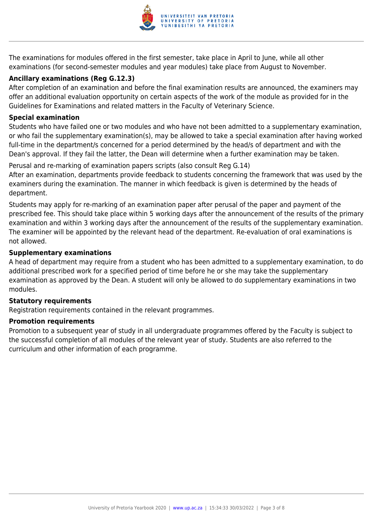

The examinations for modules offered in the first semester, take place in April to June, while all other examinations (for second-semester modules and year modules) take place from August to November.

#### **Ancillary examinations (Reg G.12.3)**

After completion of an examination and before the final examination results are announced, the examiners may offer an additional evaluation opportunity on certain aspects of the work of the module as provided for in the Guidelines for Examinations and related matters in the Faculty of Veterinary Science.

#### **Special examination**

Students who have failed one or two modules and who have not been admitted to a supplementary examination, or who fail the supplementary examination(s), may be allowed to take a special examination after having worked full-time in the department/s concerned for a period determined by the head/s of department and with the Dean's approval. If they fail the latter, the Dean will determine when a further examination may be taken.

Perusal and re-marking of examination papers scripts (also consult Reg G.14) After an examination, departments provide feedback to students concerning the framework that was used by the examiners during the examination. The manner in which feedback is given is determined by the heads of department.

Students may apply for re-marking of an examination paper after perusal of the paper and payment of the prescribed fee. This should take place within 5 working days after the announcement of the results of the primary examination and within 3 working days after the announcement of the results of the supplementary examination. The examiner will be appointed by the relevant head of the department. Re-evaluation of oral examinations is not allowed.

#### **Supplementary examinations**

A head of department may require from a student who has been admitted to a supplementary examination, to do additional prescribed work for a specified period of time before he or she may take the supplementary examination as approved by the Dean. A student will only be allowed to do supplementary examinations in two modules.

#### **Statutory requirements**

Registration requirements contained in the relevant programmes.

#### **Promotion requirements**

Promotion to a subsequent year of study in all undergraduate programmes offered by the Faculty is subject to the successful completion of all modules of the relevant year of study. Students are also referred to the curriculum and other information of each programme.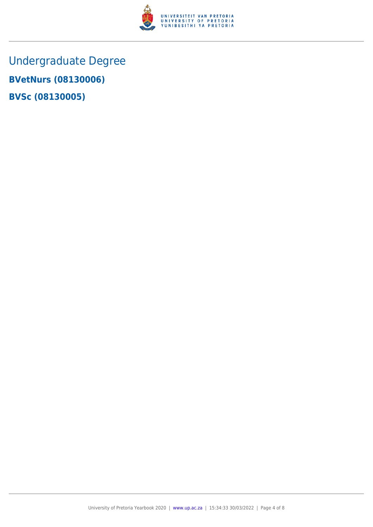

Undergraduate Degree **BVetNurs (08130006) BVSc (08130005)**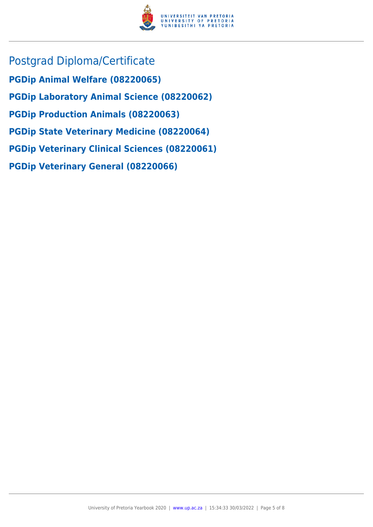

Postgrad Diploma/Certificate **PGDip Animal Welfare (08220065) PGDip Laboratory Animal Science (08220062) PGDip Production Animals (08220063) PGDip State Veterinary Medicine (08220064) PGDip Veterinary Clinical Sciences (08220061) PGDip Veterinary General (08220066)**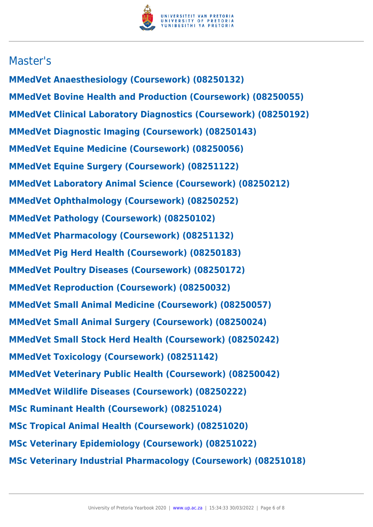

### Master's

**MMedVet Anaesthesiology (Coursework) (08250132) MMedVet Bovine Health and Production (Coursework) (08250055) MMedVet Clinical Laboratory Diagnostics (Coursework) (08250192) MMedVet Diagnostic Imaging (Coursework) (08250143) MMedVet Equine Medicine (Coursework) (08250056) MMedVet Equine Surgery (Coursework) (08251122) MMedVet Laboratory Animal Science (Coursework) (08250212) MMedVet Ophthalmology (Coursework) (08250252) MMedVet Pathology (Coursework) (08250102) MMedVet Pharmacology (Coursework) (08251132) MMedVet Pig Herd Health (Coursework) (08250183) MMedVet Poultry Diseases (Coursework) (08250172) MMedVet Reproduction (Coursework) (08250032) MMedVet Small Animal Medicine (Coursework) (08250057) MMedVet Small Animal Surgery (Coursework) (08250024) MMedVet Small Stock Herd Health (Coursework) (08250242) MMedVet Toxicology (Coursework) (08251142) MMedVet Veterinary Public Health (Coursework) (08250042) MMedVet Wildlife Diseases (Coursework) (08250222) MSc Ruminant Health (Coursework) (08251024) MSc Tropical Animal Health (Coursework) (08251020) MSc Veterinary Epidemiology (Coursework) (08251022) MSc Veterinary Industrial Pharmacology (Coursework) (08251018)**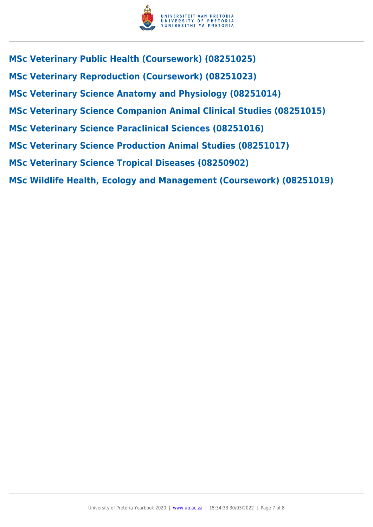

**MSc Veterinary Public Health (Coursework) (08251025) MSc Veterinary Reproduction (Coursework) (08251023) MSc Veterinary Science Anatomy and Physiology (08251014) MSc Veterinary Science Companion Animal Clinical Studies (08251015) MSc Veterinary Science Paraclinical Sciences (08251016) MSc Veterinary Science Production Animal Studies (08251017) MSc Veterinary Science Tropical Diseases (08250902) MSc Wildlife Health, Ecology and Management (Coursework) (08251019)**